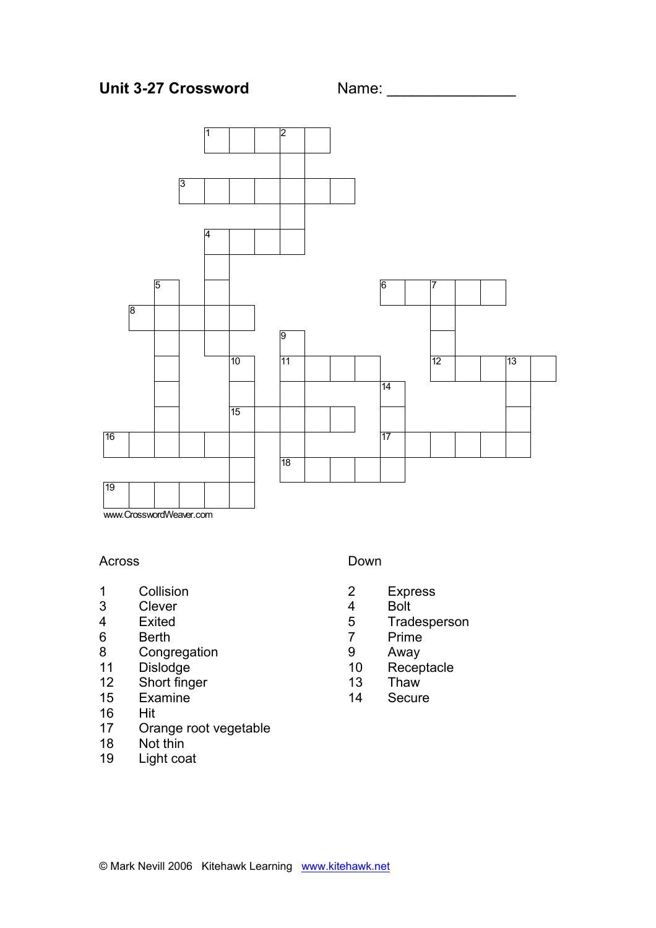



#### Across

- 1 Collision<br>3 Clever
- 3 Clever<br>4 Exited
- 4 Exited<br>6 Berth
- **Berth**
- 8 Congregation
- 11 Dislodge<br>12 Short fing
- Short finger
- 15 Examine
- 16 Hit
- 17 Orange root vegetable
- 18 Not thin
- 19 Light coat

## Down

- 2 Express
- 4 Bolt<br>5 Trad
- 5 Tradesperson<br>7 Prime
- **Prime**
- 9 Away
- 10 Receptacle
- 13 Thaw
- 14 Secure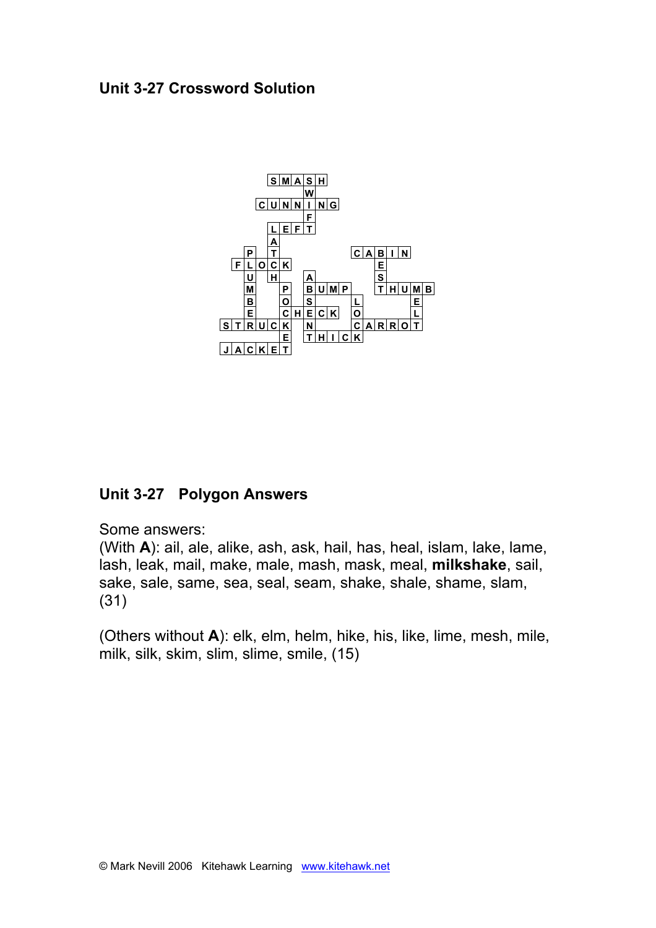# **Unit 3-27 Crossword Solution**



# **Unit 3-27 Polygon Answers**

Some answers:

(With **A**): ail, ale, alike, ash, ask, hail, has, heal, islam, lake, lame, lash, leak, mail, make, male, mash, mask, meal, **milkshake**, sail, sake, sale, same, sea, seal, seam, shake, shale, shame, slam, (31)

(Others without **A**): elk, elm, helm, hike, his, like, lime, mesh, mile, milk, silk, skim, slim, slime, smile, (15)